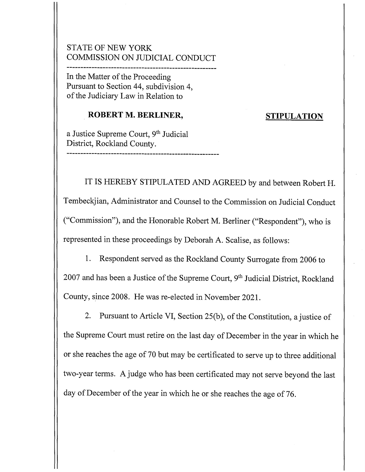## STATE OF NEW YORK COMMISSION ON JUDICIAL CONDUCT

------------------------------------------------------ In the Matter of the Proceeding Pursuant to Section 44, subdivision 4, of the Judiciary Law in Relation to

### **ROBERT M. BERLINER,**

-------------------------------------------------------

#### **STIPULATION**

a Justice Supreme Court, 9<sup>th</sup> Judicial District, Rockland County.

IT IS HEREBY STIPULATED AND AGREED by and between Robert H. Tembeckjian, Administrator and Counsel to the Commission on Judicial Conduct ("Commission"), and the Honorable Robert M. Berliner ("Respondent"), who is represented in these proceedings by Deborah A. Scalise, as follows:

1. Respondent served as the Rockland County Surrogate from 2006 to  $2007$  and has been a Justice of the Supreme Court,  $9<sup>th</sup>$  Judicial District, Rockland County, since 2008. He was re-elected in November 2021.

2. Pursuant to Article VI, Section 25(b), of the Constitution, a justice of the Supreme Court must retire on the last day of December in the year in which he or she reaches the age of 70 but may be certificated to serve up to three additional two-year terms. A judge who has been certificated may not serve beyond the last day of December of the year in which he or she reaches the age of 76.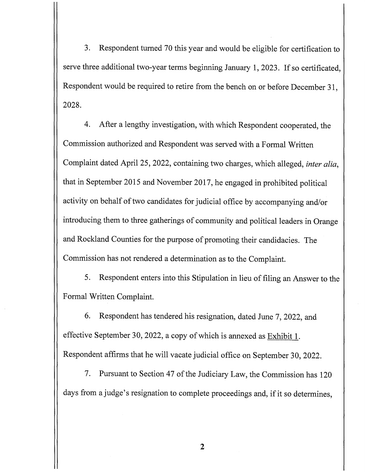3. Respondent turned 70 this year and would be eligible for certification to serve three additional two-year terms beginning January 1, 2023. If so certificated, Respondent would be required to retire from the bench on or before December 31, 2028.

4. After a lengthy investigation, with which Respondent cooperated, the Commission authorized and Respondent was served with a Formal Written Complaint dated April 25, 2022, containing two charges, which alleged, *inter alia,*  that in September 2015 and November 2017, he engaged in prohibited political activity on behalf of two candidates for judicial office by accompanying and/or introducing them to three gatherings of community and political leaders in Orange and Rockland Counties for the purpose of promoting their candidacies. The Commission has not rendered a determination as to the Complaint.

5. Respondent enters into this Stipulation in lieu of filing an Answer to the Formal Written Complaint.

6. Respondent has tendered his resignation, dated June 7, 2022, and effective September 30, 2022, a copy of which is annexed as Exhibit 1. Respondent affirms that he will vacate judicial office on September 30, 2022.

7. Pursuant to Section 47 of the Judiciary Law, the Commission has 120 days from a judge's resignation to complete proceedings and, if it so determines,

2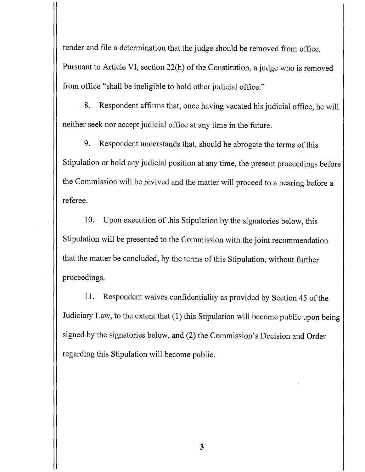render and file a determination that the judge should be removed from office. Pursuant to Article VI, section 22(h) of the Constitution, a judge who is removed from office "shall be ineligible to hold other judicial office."

8. Respondent affirms that, once having vacated his judicial office, he will neither seek nor accept judicial office at any time in the future.

9. Respondent understands that, should he abrogate the terms of this Stipulation or hold any judicial position at any time, the present proceedings before the Commission will be revived and the matter will proceed to a hearing before a referee.

10. Upon execution of this Stipulation by the signatories below, this Stipulation will be presented to the Commission with the joint recommendation that the matter be concluded, by the terms of this Stipulation, without further proceedings.

11. Respondent waives confidentiality as provided by Section 45 of the Judiciary Law, to the extent that (1) this Stipulation will become public upon being signed by the signatories below, and (2) the Commission's Decision and Order regarding this Stipulation will become public.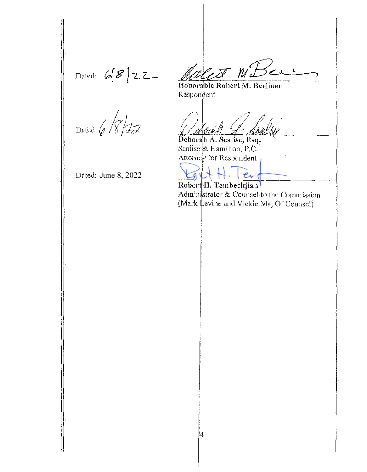Dated:  $6822$ 

West W.Ber

Honorable Robert M. Berliner Respondent

Dated:  $6$  /8/22

Deborah A. Sealise, Esq. Scalise & Hamilton, P.C. Attorney for Respondent

Robert H. Tembeckjian Administrator & Counsel to the Commission (Mark Levine and Vickie Ma, Of Counsel)

Dated: June 8, 2022